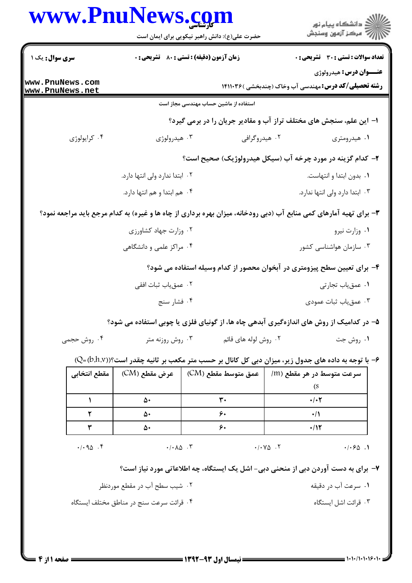| www.PnuNews.com                    |                                                                    | حضرت علی(ع): دانش راهبر نیکویی برای ایمان است             | ≦ دانشڪاه پيام نور<br>7- مرڪز آزمون وسنڊش                                                                          |  |  |
|------------------------------------|--------------------------------------------------------------------|-----------------------------------------------------------|--------------------------------------------------------------------------------------------------------------------|--|--|
| <b>سری سوال :</b> یک ۱             |                                                                    | <b>زمان آزمون (دقیقه) : تستی : 80 ٪ تشریحی : 0</b>        | <b>تعداد سوالات : تستی : 30 ٪ تشریحی : 0</b>                                                                       |  |  |
| www.PnuNews.com<br>www.PnuNews.net |                                                                    |                                                           | <b>عنـــوان درس:</b> هيدرولوژي<br><b>رشته تحصیلی/کد درس:</b> مهندسی آب وخاک (چندبخشی )۱۴۱۱۰۳۶                      |  |  |
|                                    |                                                                    | استفاده از ماشین حساب مهندسی مجاز است                     |                                                                                                                    |  |  |
|                                    | ا– این علم، سنجش های مختلف تراز آب و مقادیر جریان را در برمی گیرد؟ |                                                           |                                                                                                                    |  |  |
| ۰۴ کرایولوژی                       | ۰۳ هیدرولوژی                                                       |                                                           | ۰۲ هیدروگرافی<br>۰۱ هیدرومتری                                                                                      |  |  |
|                                    |                                                                    | ۲- کدام گزینه در مورد چرخه آب (سیکل هیدرولوژیک) صحیح است؟ |                                                                                                                    |  |  |
|                                    | ۰۲ ابتدا ندارد ولی انتها دارد.                                     |                                                           | ٠١ بدون ابتدا و انتهاست.                                                                                           |  |  |
|                                    | ۰۴ هم ابتدا و هم انتها دارد.                                       |                                                           | ۰۳ ابتدا دارد ولی انتها ندارد.                                                                                     |  |  |
|                                    |                                                                    |                                                           | ۳- برای تهیه آمارهای کمی منابع آب (دبی رودخانه، میزان بهره برداری از چاه ها و غیره) به کدام مرجع باید مراجعه نمود؟ |  |  |
|                                    | ۰۲ وزارت جهاد کشاورزی                                              |                                                           | ۰۱ وزارت نیرو                                                                                                      |  |  |
|                                    | ۰۴ مراکز علمی و دانشگاهی                                           |                                                           | ۰۳ سازمان هواشناسی کشور                                                                                            |  |  |
|                                    |                                                                    |                                                           | ۴- برای تعیین سطح پیزومتری در آبخوان محصور از کدام وسیله استفاده می شود؟                                           |  |  |
|                                    |                                                                    |                                                           | ۰۱ عمق یاب تجارتی                                                                                                  |  |  |
|                                    | ۰۲ عمق یاب ثبات افقی<br>۰۴ فشار سنج                                |                                                           | ۰۳ عمق یاب ثبات عمودی                                                                                              |  |  |
|                                    |                                                                    |                                                           |                                                                                                                    |  |  |
|                                    |                                                                    |                                                           | ۵- در کدامیک از روش های اندازهگیری ابدهی چاه ها، از گونیای فلزی یا چوبی استفاده می شود؟                            |  |  |
| ۰۴ روش حجمی                        | ۰ <sup>۳</sup> روش روزنه متر                                       | ۰۲ روش لوله های قائم                                      | ۰۱ روش جت                                                                                                          |  |  |
|                                    |                                                                    |                                                           | ۶− با توجه به داده های جدول زیر، میزان دبی کل کانال بر حسب متر مکعب بر ثانیه چقدر است؟((D=(b.h.v))                 |  |  |
|                                    |                                                                    | عمق متوسط مقطع (CM)       عرض مقطع (CM)      مقطع انتخابي | سرعت متوسط در هر مقطع (m/<br>(S                                                                                    |  |  |
| $\mathbf{L}$                       | ۵۰                                                                 | $\mathbf{r}$ .                                            | $\cdot/\cdot7$                                                                                                     |  |  |
| ٢                                  | ۵۰                                                                 | ۶٠                                                        | $\cdot/$                                                                                                           |  |  |
| ٣                                  | ۵۰                                                                 | ۶٠                                                        | $\cdot$ /1٢                                                                                                        |  |  |
| .40.7                              | $-(\cdot \wedge \wedge \wedge \cdot \vee)$                         |                                                           | $\cdot$ / $\cdot$ $\vee$ $\circ$ $\cdot$ $\vee$<br>.1.50.1                                                         |  |  |
|                                    |                                                                    |                                                           | ۷- برای به دست آوردن دبی از منحنی دبی- اشل یک ایستگاه، چه اطلاعاتی مورد نیاز است؟                                  |  |  |
| ۲. شیب سطح آب در مقطع موردنظر      |                                                                    |                                                           | ٠١ سرعت آب در دقيقه                                                                                                |  |  |
|                                    | ۰۴ قرائت سرعت سنج در مناطق مختلف ايستگاه                           |                                                           | ۰۳ قرائت اشل ایستگاه                                                                                               |  |  |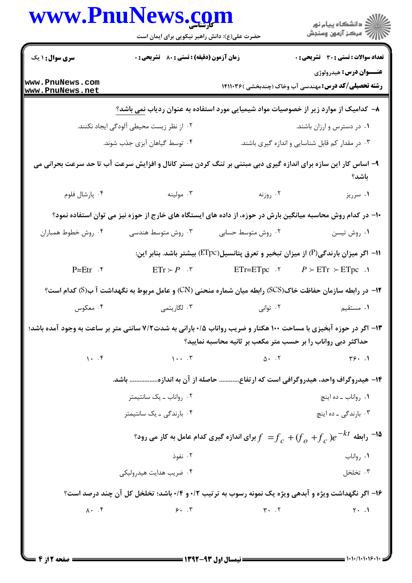|                                    | www.PnuNews.com<br>حضرت علی(ع): دانش راهبر نیکویی برای ایمان است                                                  |                                                                                                                                                                                                                                                                                                                                                               | ر<br>دانشڪاه پيام نور)<br>ا∛ مرڪز آزمون وسنڊش                                                                                                                                                                                                                                                                                                   |  |
|------------------------------------|-------------------------------------------------------------------------------------------------------------------|---------------------------------------------------------------------------------------------------------------------------------------------------------------------------------------------------------------------------------------------------------------------------------------------------------------------------------------------------------------|-------------------------------------------------------------------------------------------------------------------------------------------------------------------------------------------------------------------------------------------------------------------------------------------------------------------------------------------------|--|
| <b>سری سوال : ۱ یک</b>             | زمان آزمون (دقیقه) : تستی : 80 ٪ تشریحی : 0                                                                       |                                                                                                                                                                                                                                                                                                                                                               | <b>تعداد سوالات : تستی : 30 ٪ تشریحی : 0</b>                                                                                                                                                                                                                                                                                                    |  |
| www.PnuNews.com<br>www.PnuNews.net |                                                                                                                   |                                                                                                                                                                                                                                                                                                                                                               | <b>عنــوان درس:</b> هيدرولوژي<br><b>رشته تحصیلی/کد درس:</b> مهندسی آب وخاک (چندبخشی )۱۴۱۱۰۳۶                                                                                                                                                                                                                                                    |  |
|                                    | ۸− کدامیک از موارد زیر از خصوصیات مواد شیمیایی مورد استفاده به عنوان ردیاب <u>نمی</u> باشد؟                       |                                                                                                                                                                                                                                                                                                                                                               |                                                                                                                                                                                                                                                                                                                                                 |  |
|                                    | ۰۲ از نظر زیست محیطی آلودگی ایجاد نکنند.                                                                          |                                                                                                                                                                                                                                                                                                                                                               | ۰۱ در دسترس و ارزان باشند.                                                                                                                                                                                                                                                                                                                      |  |
|                                    | ۰۴ توسط گیاهان آبزی جذب شوند.                                                                                     |                                                                                                                                                                                                                                                                                                                                                               | ۰۳ در مقدار کم قابل شناسایی و اندازه گیری باشند.                                                                                                                                                                                                                                                                                                |  |
|                                    | ۹- اساس کار این سازه برای اندازه گیری دبی مبتنی بر تنگ کردن بستر کانال و افزایش سرعت آب تا حد سرعت بحرانی می      |                                                                                                                                                                                                                                                                                                                                                               | باشد؟                                                                                                                                                                                                                                                                                                                                           |  |
| ۰۴ پارشال فلوم                     | . ۳ مولینه                                                                                                        | ۰۲ روزنه                                                                                                                                                                                                                                                                                                                                                      | ۰۱ سرریز                                                                                                                                                                                                                                                                                                                                        |  |
|                                    | ∙ا− در کدام روش محاسبه میانگین بارش در حوزه، از داده های ایستگاه های خارج از حوزه نیز می توان استفاده نمود؟       |                                                                                                                                                                                                                                                                                                                                                               |                                                                                                                                                                                                                                                                                                                                                 |  |
| ۰۴ روش خطوط همباران                | ۰۳ روش متوسط هندسی                                                                                                | ۰۲ روش متوسط حسابی                                                                                                                                                                                                                                                                                                                                            | ۰۱ روش تیسن                                                                                                                                                                                                                                                                                                                                     |  |
|                                    |                                                                                                                   |                                                                                                                                                                                                                                                                                                                                                               | ۰۱۱ - اگر میزان بارندگی(P) از میزان تبخیر و تعرق پتانسیل(ETpc) بیشتر باشد. بنابر این:                                                                                                                                                                                                                                                           |  |
| $P=Et$ r $\cdot$                   | $ETr > P$ .                                                                                                       | $ETr = E Tpc$ . $\theta$                                                                                                                                                                                                                                                                                                                                      | $P > ETr > ETopc$ .                                                                                                                                                                                                                                                                                                                             |  |
|                                    | ۱۲- در رابطه سازمان حفاظت خاک(SCS) رابطه میان شماره منحنی (CN) و عامل مربوط به نگهداشت آ ب(S) کدام است؟           |                                                                                                                                                                                                                                                                                                                                                               |                                                                                                                                                                                                                                                                                                                                                 |  |
| ۰۴ معکوس                           | ۰۳ لگاريتمي                                                                                                       | ۰۲ توانی                                                                                                                                                                                                                                                                                                                                                      | ۰۱ مستقیم                                                                                                                                                                                                                                                                                                                                       |  |
|                                    | ۱۳- اگر در حوزه آبخیزی با مساحت ۱۰۰ هکتار و ضریب رواناب ۰/۵ بارانی به شدت۷/۲ سانتی متر بر ساعت به وجود آمده باشد؛ | حداکثر دبی رواناب را بر حسب متر مکعب بر ثانیه محاسبه نمایید؟                                                                                                                                                                                                                                                                                                  |                                                                                                                                                                                                                                                                                                                                                 |  |
|                                    | 1.7                                                                                                               | $\Delta$ + $\Delta$ + $\Delta$ + $\Delta$ + $\Delta$ + $\Delta$ + $\Delta$ + $\Delta$ + $\Delta$ + $\Delta$ + $\Delta$ + $\Delta$ + $\Delta$ + $\Delta$ + $\Delta$ + $\Delta$ + $\Delta$ + $\Delta$ + $\Delta$ + $\Delta$ + $\Delta$ + $\Delta$ + $\Delta$ + $\Delta$ + $\Delta$ + $\Delta$ + $\Delta$ + $\Delta$ + $\Delta$ + $\Delta$ + $\Delta$ + $\Delta$ | 49.1                                                                                                                                                                                                                                                                                                                                            |  |
|                                    | ۱۴– هیدروگراف واحد، هیدروگرافی است که ارتفاع حاصله از آن به اندازه باشد.                                          |                                                                                                                                                                                                                                                                                                                                                               |                                                                                                                                                                                                                                                                                                                                                 |  |
|                                    | ۰۲ رواناب ــ یک سانتیمتر                                                                                          |                                                                                                                                                                                                                                                                                                                                                               | ٠١. رواناب ــ ده اينچ                                                                                                                                                                                                                                                                                                                           |  |
|                                    | ۰۴ بارندگی ـ یک سانتیمتر                                                                                          |                                                                                                                                                                                                                                                                                                                                                               | ۰۳ بارندگی ـ ده اينچ                                                                                                                                                                                                                                                                                                                            |  |
|                                    |                                                                                                                   |                                                                                                                                                                                                                                                                                                                                                               | برای اندازه گیری کدام عامل به کار می رود؟ $f_{\;\,c}+\!\!\!\!f_{\;\,c}+\!\!\!\!f_{\;\,c}+\!\!\!\!f_{\;\,c}+\!\!\!\!f_{\;\,c}$ ابطه $^{-1}$                                                                                                                                                                                                      |  |
|                                    | ۰۲ نفوذ                                                                                                           |                                                                                                                                                                                                                                                                                                                                                               | ۰۱ رواناب                                                                                                                                                                                                                                                                                                                                       |  |
|                                    | ۰۴ ضریب هدایت هیدرولیکی                                                                                           |                                                                                                                                                                                                                                                                                                                                                               | ۰۳ تخلخل                                                                                                                                                                                                                                                                                                                                        |  |
|                                    | ۱۶- اگر نگهداشت ویژه و آبدهی ویژه یک نمونه رسوب به ترتیب ۰/۲ و ۰/۴ باشد؛ تخلخل کل آن چند درصد است؟                |                                                                                                                                                                                                                                                                                                                                                               |                                                                                                                                                                                                                                                                                                                                                 |  |
|                                    |                                                                                                                   |                                                                                                                                                                                                                                                                                                                                                               | $\lambda$ . F $\qquad \qquad$ $\qquad$ $\qquad$ $\qquad$ $\qquad$ $\qquad$ $\qquad$ $\qquad$ $\qquad$ $\qquad$ $\qquad$ $\qquad$ $\qquad$ $\qquad$ $\qquad$ $\qquad$ $\qquad$ $\qquad$ $\qquad$ $\qquad$ $\qquad$ $\qquad$ $\qquad$ $\qquad$ $\qquad$ $\qquad$ $\qquad$ $\qquad$ $\qquad$ $\qquad$ $\qquad$ $\qquad$ $\qquad$ $\qquad$ $\qquad$ |  |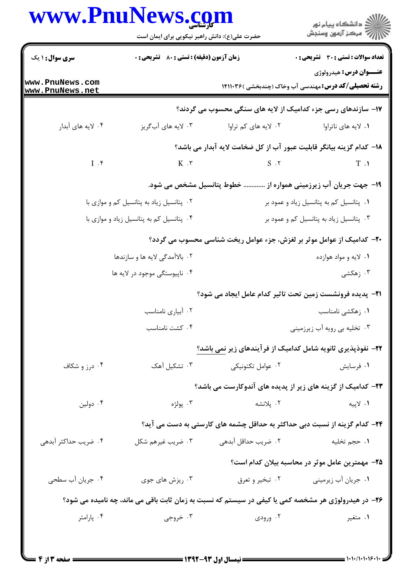## $D_{211}$ N $_{217}$  $\overline{\phantom{a}}$

| <b>سری سوال : ۱ یک</b>                   | <b>زمان آزمون (دقیقه) : تستی : 80 ٪ تشریحی : 0</b> |                                                                                                     | تعداد سوالات : تستى : 30 - تشريحي : 0                                                         |
|------------------------------------------|----------------------------------------------------|-----------------------------------------------------------------------------------------------------|-----------------------------------------------------------------------------------------------|
| www.PnuNews.com<br>www.PnuNews.net       |                                                    |                                                                                                     | <b>عنـــوان درس:</b> هيدرولوژي<br><b>رشته تحصیلی/کد درس:</b> مهندسی آب وخاک (چندبخشی )۱۴۱۱۰۳۶ |
|                                          |                                                    | ۱۷- سازندهای رسی جزء کدامیک از لایه های سنگی محسوب می گردند؟                                        |                                                                                               |
| ۰۴ لایه های آبدار                        | ۰۳ لایه های آبگریز                                 | ۰۲ لايه هاي کم تراوا                                                                                | ۰۱ لايه هاي ناتراوا                                                                           |
|                                          |                                                    | ۱۸− کدام گزینه بیانگر قابلیت عبور آب از کل ضخامت لایه آبدار می باشد؟                                |                                                                                               |
| $I \cdot$ ۴                              | $K \cdot r$                                        | $S \cdot Y$                                                                                         | T.1                                                                                           |
|                                          | خطوط پتانسیل مشخص می شود.                          |                                                                                                     | ۱۹–  جهت جریان آب زیرزمینی همواره از                                                          |
| ۰۲ پتانسیل زیاد به پتانسیل کم و موازی با |                                                    | ۰۱ پتانسیل کم به پتانسیل زیاد و عمود بر                                                             |                                                                                               |
|                                          | ۰۴ پتانسیل کم به پتانسیل زیاد و موازی با           |                                                                                                     | ۰۳ پتانسیل زیاد به پتانسیل کم و عمود بر                                                       |
|                                          |                                                    | ۲۰- کدامیک از عوامل موثر بر لغزش، جزء عوامل ریخت شناسی محسوب می گردد؟                               |                                                                                               |
|                                          | ۰۲ بالاآمدگی لایه ها و سازندها                     |                                                                                                     | ۰۱ لايه و مواد هوازده                                                                         |
|                                          | ۰۴ ناپیوستگی موجود در لایه ها                      |                                                                                                     | ۰۳ زهکشی                                                                                      |
|                                          |                                                    | <b>۲۱</b> - پدیده فرونشست زمین تحت تاثیر کدام عامل ایجاد می شود؟                                    |                                                                                               |
|                                          | ٠٢ آبياري نامناسب                                  |                                                                                                     | ۰۱ زهکشی نامناسب                                                                              |
|                                          | ۰۴ کشت نامناسب                                     |                                                                                                     | ۰۳ تخلیه بی رویه آب زیرزمینی                                                                  |
|                                          |                                                    | ۲۲- نفوذپذیری ثانویه شامل کدامیک از فرآیندهای زیر نمی باشد؟                                         |                                                                                               |
| ۰۴ درز و شکاف                            | ۰۳ تشکیل آهک                                       | ۰۲ عوامل تکتونیکی                                                                                   | ٠١ فرسايش                                                                                     |
|                                          |                                                    | ۲۳– کدامیک از گزینه های زیر از پدیده های آندوکارست می باشد؟                                         |                                                                                               |
| ۰۴ دولین                                 | ۰۳ پولژه                                           | ۰۲ پلانشه                                                                                           | ۰۱ لاپيه                                                                                      |
|                                          |                                                    | ۲۴– کدام گزینه از نسبت دبی حداکثر به حداقل چشمه های کارستی به دست می آید؟                           |                                                                                               |
| ۰۴ ضریب حداکثر آبدهی                     | ۰۳ ضریب غیرهم شکل                                  | ۰۲ ضریب حداقل آبدهی                                                                                 | ٠١ حجم تخليه                                                                                  |
|                                          |                                                    |                                                                                                     | ۲۵– مهمترین عامل موثر در محاسبه بیلان کدام است؟                                               |
| ۰۴ جریان آب سطحی                         | ۰۳ ریزش های جوی                                    | ۰۲ تبخير و تعرق                                                                                     | ۰۱ جریان آب زیرمینی                                                                           |
|                                          |                                                    | ۲۶- در هیدرولوژی هر مشخصه کمی یا کیفی در سیستم که نسبت به زمان ثابت باقی می ماند، چه نامیده می شود؟ |                                                                                               |
| ۰۴ پارامتر                               | ۰۳ خروجی                                           | ۰۲ ورودی                                                                                            | ۰۱ متغیر                                                                                      |